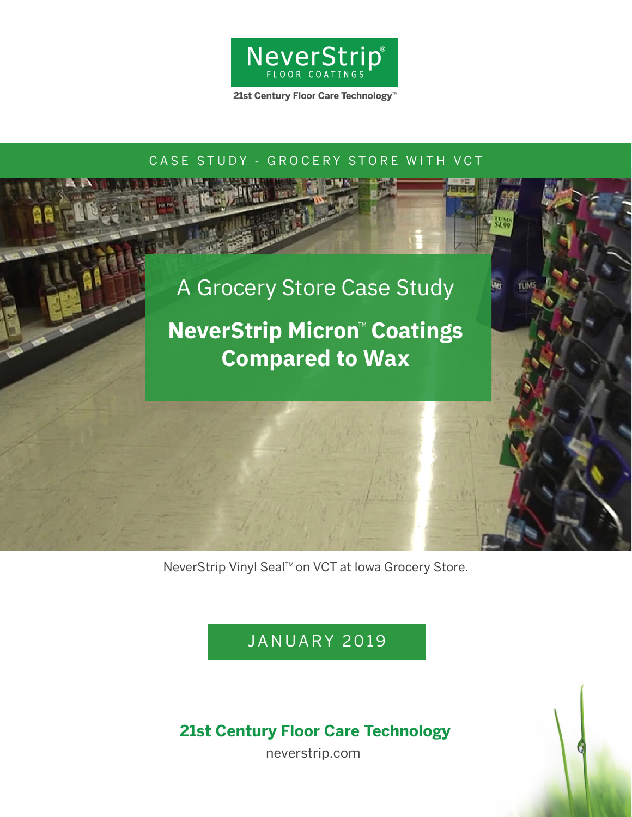

21st Century Floor Care Technology<sup>™</sup>

### CASE STUDY - GROCERY STORE WITH VCT



**TUMS** 

# **NeverStrip Micron™ Coatings Compared to Wax**

NeverStrip Vinyl Seal™ on VCT at Iowa Grocery Store.

JANUARY 2019

## **21st Century Floor Care Technology**

neverstrip.com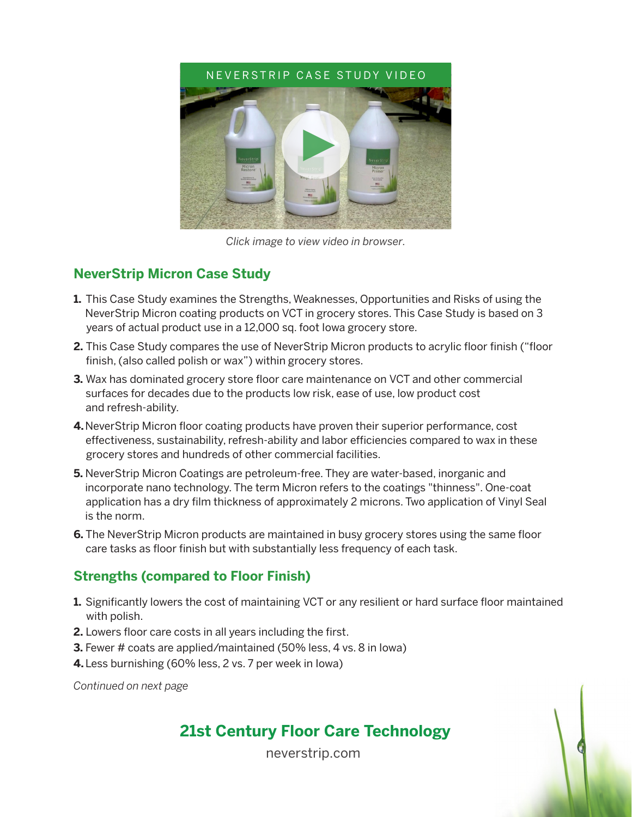

*Click image to view video in browser.*

#### **NeverStrip Micron Case Study**

- **1.** This Case Study examines the Strengths, Weaknesses, Opportunities and Risks of using the NeverStrip Micron coating products on VCT in grocery stores. This Case Study is based on 3 years of actual product use in a 12,000 sq. foot Iowa grocery store.
- **2.** This Case Study compares the use of NeverStrip Micron products to acrylic floor finish ("floor finish, (also called polish or wax") within grocery stores.
- **3.** Wax has dominated grocery store floor care maintenance on VCT and other commercial surfaces for decades due to the products low risk, ease of use, low product cost and refresh-ability.
- **4.** NeverStrip Micron floor coating products have proven their superior performance, cost effectiveness, sustainability, refresh-ability and labor efficiencies compared to wax in these grocery stores and hundreds of other commercial facilities.
- **5.** NeverStrip Micron Coatings are petroleum-free. They are water-based, inorganic and incorporate nano technology. The term Micron refers to the coatings "thinness". One-coat application has a dry film thickness of approximately 2 microns. Two application of Vinyl Seal is the norm.
- **6.** The NeverStrip Micron products are maintained in busy grocery stores using the same floor care tasks as floor finish but with substantially less frequency of each task.

## **Strengths (compared to Floor Finish)**

- **1.** Significantly lowers the cost of maintaining VCT or any resilient or hard surface floor maintained with polish.
- **2.** Lowers floor care costs in all years including the first.
- **3.** Fewer # coats are applied/maintained (50% less, 4 vs. 8 in lowa)
- **4.** Less burnishing (60% less, 2 vs. 7 per week in Iowa)

*Continued on next page*

## **21st Century Floor Care Technology**

neverstrip.com